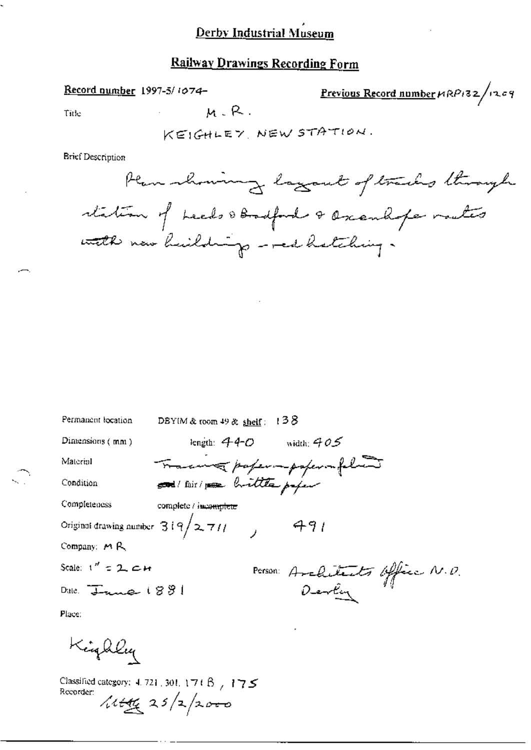# Railway Drawings Recording Form

 $M - R$ .

#### Record number 1997-5/1074-

Previous Record number  $\mu$ RP132/1209

Title

KEIGHLEY, NEW STATION.

**Brief Description** 

| Permanent location                 | DBYIM & room $49$ & shelf: | 138                                       |
|------------------------------------|----------------------------|-------------------------------------------|
| Dimensions (mm)                    | length: $440$              | width: $405$                              |
| Material                           |                            |                                           |
| Condition                          |                            | Tracewa papermpapermplant                 |
| Completeness                       | complete / incomplete      |                                           |
| Original drawing number $319/2711$ |                            | 491                                       |
| Company: $M R$                     |                            |                                           |
| Scale: $1'' = 2$ , $\epsilon$ H    |                            |                                           |
| Date: $\frac{1}{1 + \kappa}$ (891  |                            | Person: Architects Office N.D.<br>Develop |
|                                    |                            |                                           |

Place:

Kinghley

Classified category:  $4.721$ , 301,  $171B$ ,  $175$ Recorder:  $\sqrt{114x}$  25/2/2000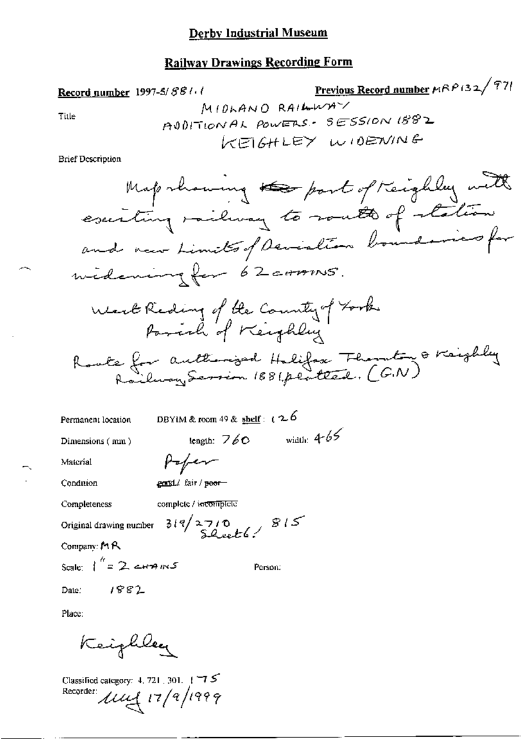### **Railway Drawings Recording Form**

Previous Record number  $\mu$ RP(32/97) Record number 1997-5/881.1 MIDLAND RAILWAY Title ADDITIONAL POWERS - SESSION 1882 KEIGHLEY WIDENING **Brief Description** Map showing the past of Keighley with escriting railway to rout of station and now Limites of Deviation boundaries for widening for 62 corons. West Reding of the County of Took Roate for authorized Holifox Thornton & Krighly DBYIM & room 49 & shelf:  $26$ Permanent location

Dimensions (mm)

length:  $760$  width:  $465$ 

Material

Condition

gental fair / peor-

Poper

Completeness

complete / incomplete

Original drawing number  $319/2710$ <br>Sheet 6.

Company: MR

Scale:  $1^h = 2$  c+17 m S

Person:

Date:

Place:

Keighlee

1882

Classified category: 4, 721, 301. 175 Recorder:  $\mu\mu$  17/9/1999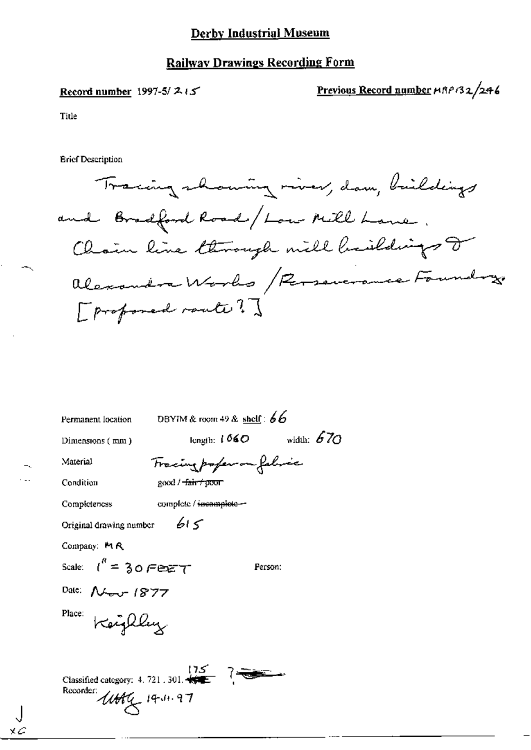### **Railway Drawings Recording Form**

### Record number 1997-5/ $215$

Previous Record number  $\mu$ RP132/246

Title

**Brief Description** 

Tracing showing river, dam, buildings and Bradford Road/Low Mill Lane. Chain line through mill besildings or alexandra Works / Reservance Foundry [ proposed route ?]

Permanent location

DBYIM & room 49 & shelf:  $66$ 

Dimensions (mm)

length:  $1060$  width: 670

Person;

Material Condition

Completeness

Fracing poper on folice good / <del>fair / pour</del>

 $615$ 

complete / incomplete --

Original drawing number

Company: MR

Scale:  $\ell'' = 30$  Ferg T

хΖ

Date: Nov 1877

Place: Keighley

Classified category: 4, 721, 301,  $\sqrt{25}$  ? Recorder: Utility 14.11.97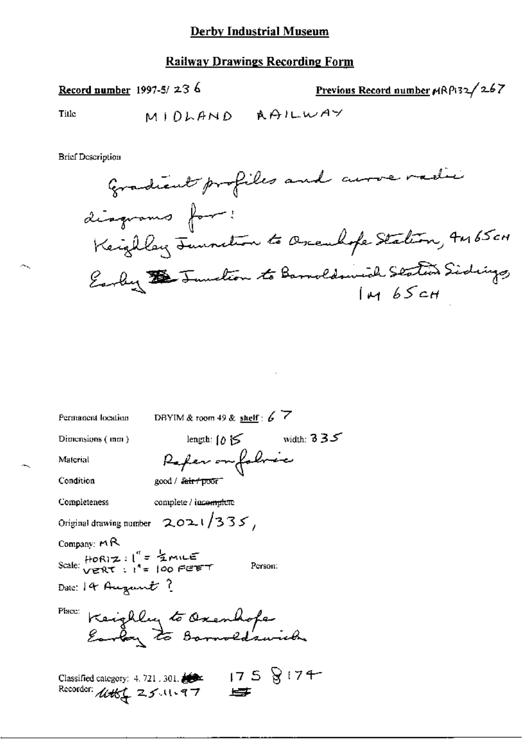# **Railway Drawings Recording Form**

Record number 1997-5/236

Previous Record number MRP132/267

Title

 $\sim$  .

**Brief Description** 



| Permanent location                                          | DBYIM & room 49 & shelf : $6\overline{7}$         |
|-------------------------------------------------------------|---------------------------------------------------|
| Dimensions (mm)                                             | width: $3.35$<br>length: $\int \delta \mathbf{S}$ |
| Material                                                    | Referentalmic                                     |
| Condition                                                   | good / f <del>air / poor "</del>                  |
| Completeness                                                | complete / inc <del>omplete</del>                 |
|                                                             | Original drawing number $2021/335$                |
| Company: $\mathsf{M}\mathsf{R}$                             |                                                   |
| Scale: HORIZ : l'" = ZMILE<br>Scale: verRT : l'" = 100 FEET | Person:                                           |
| Date: 14 August ?                                           |                                                   |
| Place:                                                      |                                                   |
|                                                             | Keighly to Oxenhope                               |
|                                                             |                                                   |
| Classified category: 4, 721, 301,                           | 1758174                                           |
| Recorder: <i>イル</i> 太く ユンハい9フ                               |                                                   |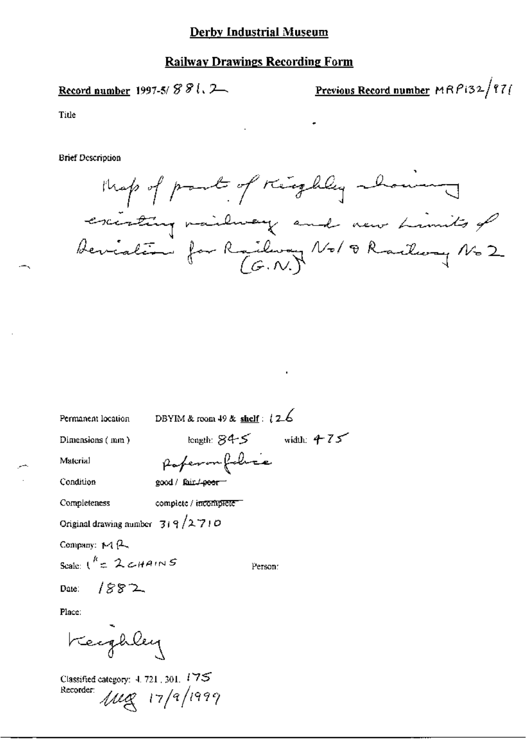### **Railway Drawings Recording Form**

Record number 1997-5/ $S\$ .

Previous Record number MRPi32/971

Title

**Brief Description** 



Permanent location

DBYIM & room 49 & shelf :  $12-6$ 

Dimensions (mm)

Material

Condition

poperon folice good / fair / poer-

Completeness complete / incomplete

Original drawing number  $319/2710$ 

Company:  $M$  $(2)$ 

Scale  $1^{k}$  = 2  $CHAINS$ 

Person:

longth:  $845$  width:  $475$ 

 $1882$ Date:

Place:

Keephley

Classified category: 4, 721, 301, 175 Recorder:  $1148$  17/9/1999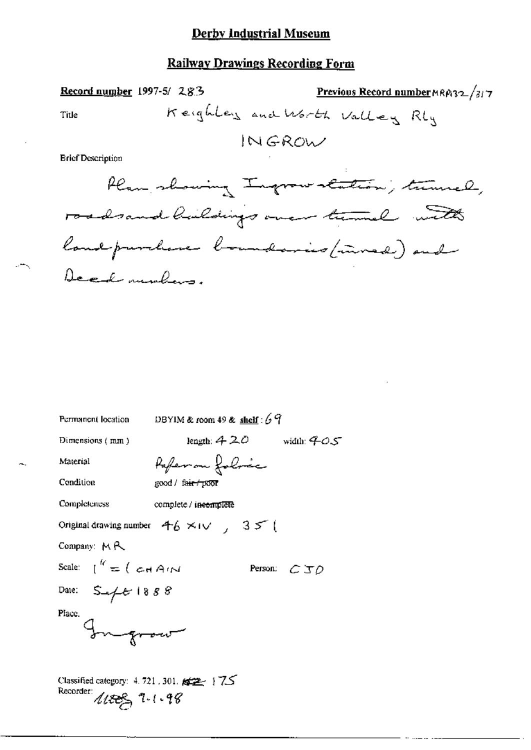# **Railway Drawings Recording Form**

Record number 1997-5/ 28.3 Previous Record number MRA32/317 Keighter and Worth Valley Rly Title INGROW **Brief Description** laning Indonesia Col  $\Omega \varphi$  $\triangle$ 

| Permanent location                                                                           | DBYIM & room 49 & shelf: $69$                                    |             |  |  |  |  |
|----------------------------------------------------------------------------------------------|------------------------------------------------------------------|-------------|--|--|--|--|
| Dimensions $(mn)$                                                                            | length: $420$ width: $405$                                       |             |  |  |  |  |
| Material                                                                                     | <i>Pafer on folose</i>                                           |             |  |  |  |  |
| Condition                                                                                    | good / fa <del>ir / poor</del>                                   |             |  |  |  |  |
| Completeness                                                                                 | complete / in <del>complete</del>                                |             |  |  |  |  |
|                                                                                              | Original drawing number $46 \times 10^{-7}$ , 35 <sup>-1</sup> ( |             |  |  |  |  |
| Company: $M \mathcal{R}$                                                                     |                                                                  |             |  |  |  |  |
| Scale: $\int_0^R \pm \int c \cdot A \cdot \Delta$                                            |                                                                  | Person: CJO |  |  |  |  |
| Date: $S = 4888$                                                                             |                                                                  |             |  |  |  |  |
| Place.<br>Ingro                                                                              |                                                                  |             |  |  |  |  |
| Classified category: $4.721$ , 301. $\cancel{\text{max}}$   7.5<br>Recorder:<br>4188, 7.1.48 |                                                                  |             |  |  |  |  |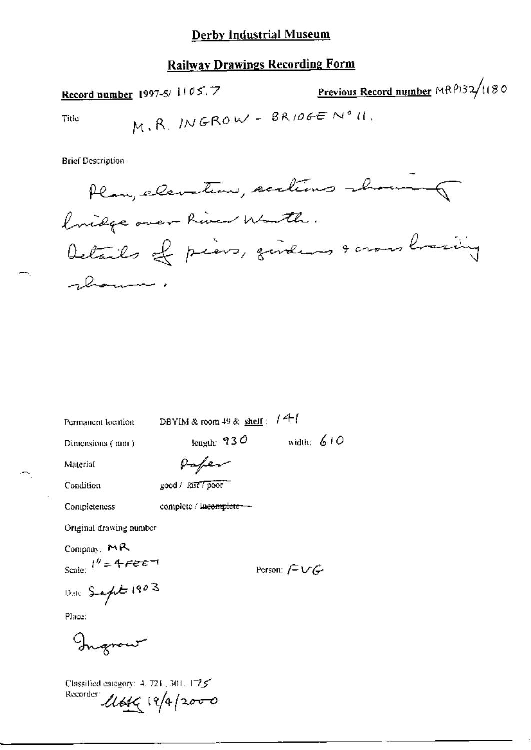# **Railway Drawings Recording Form**

Previous Record number MRP132/1180 Record number 1997-5/1105.7

$$
Table \t M, R, INGROW - BRIDGE Noll.
$$

**Brief Description** 

Permanent location

DBYIM & room 49 & shelf :  $14$ 

Dimensions (mm)

length:  $930$  width:  $610$ 

Material

Paper

complete / incomplete --

Condition

Completeness

good / 1217 poor

Original drawing number

Company, MR Scale:  $t'' = 4$   $\epsilon$   $\epsilon$   $\epsilon$   $\tau$ 

Dalc Sept 1903

Place:

Ingraw

Classified eategory: 4, 721, 301, 1725 Recorder Util 19/4/2000

Person:  $f = \bigcup f$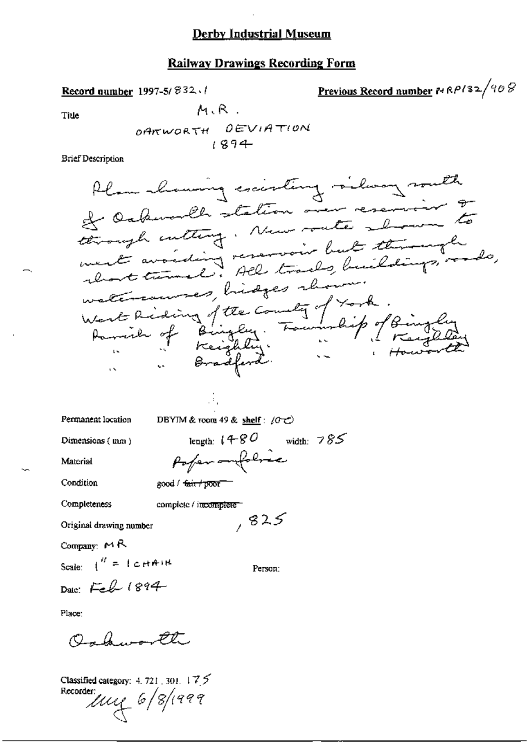## **Railway Drawings Recording Form**

Previous Record number 14 RP132/408 Record number 1997-5/ $832.1$  $M, R$ . OARWORTH DEVIATION  $1894$ 

**Brief Description** 

Title

DBYIM & room 49 & shelf :  $(0 + c)$ Permanent location length:  $1480$  width: 785 Dimensions (mm) Poperanfolice Material

Condition

Completeness

good / fair / poor

complete / incomplete

Å.

Original drawing number

Company: MR

Scale:  $\int_0^H = \int c H A H H$ 

Person:

 $, 825$ 

Date: Feb 1894

Place:

Ochworth

Classified category: 4, 721, 301, 175 Recorder  $\mu$  $\approx$  6/8/1999